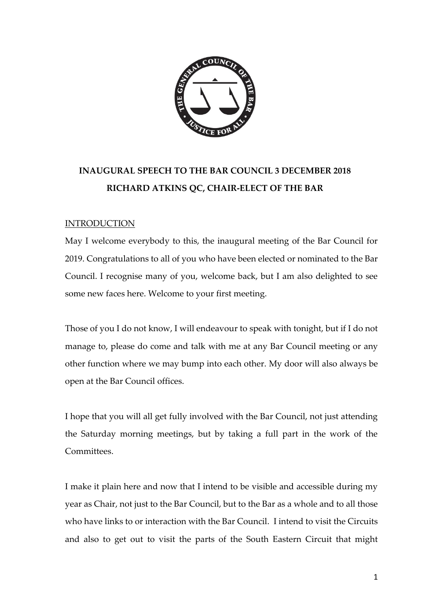

# **INAUGURAL SPEECH TO THE BAR COUNCIL 3 DECEMBER 2018 RICHARD ATKINS QC, CHAIR-ELECT OF THE BAR**

# **INTRODUCTION**

May I welcome everybody to this, the inaugural meeting of the Bar Council for 2019. Congratulations to all of you who have been elected or nominated to the Bar Council. I recognise many of you, welcome back, but I am also delighted to see some new faces here. Welcome to your first meeting.

Those of you I do not know, I will endeavour to speak with tonight, but if I do not manage to, please do come and talk with me at any Bar Council meeting or any other function where we may bump into each other. My door will also always be open at the Bar Council offices.

I hope that you will all get fully involved with the Bar Council, not just attending the Saturday morning meetings, but by taking a full part in the work of the Committees.

I make it plain here and now that I intend to be visible and accessible during my year as Chair, not just to the Bar Council, but to the Bar as a whole and to all those who have links to or interaction with the Bar Council. I intend to visit the Circuits and also to get out to visit the parts of the South Eastern Circuit that might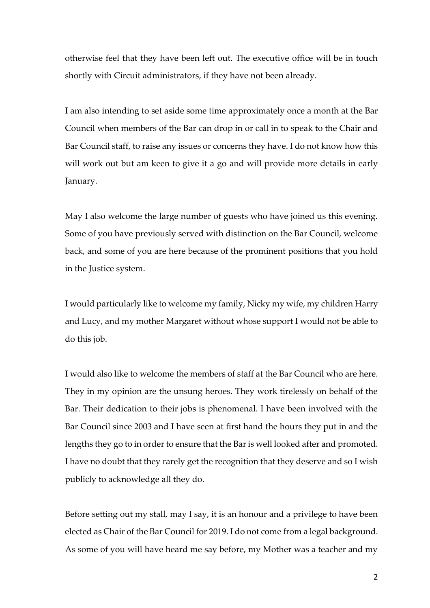otherwise feel that they have been left out. The executive office will be in touch shortly with Circuit administrators, if they have not been already.

I am also intending to set aside some time approximately once a month at the Bar Council when members of the Bar can drop in or call in to speak to the Chair and Bar Council staff, to raise any issues or concerns they have. I do not know how this will work out but am keen to give it a go and will provide more details in early January.

May I also welcome the large number of guests who have joined us this evening. Some of you have previously served with distinction on the Bar Council, welcome back, and some of you are here because of the prominent positions that you hold in the Justice system.

I would particularly like to welcome my family, Nicky my wife, my children Harry and Lucy, and my mother Margaret without whose support I would not be able to do this job.

I would also like to welcome the members of staff at the Bar Council who are here. They in my opinion are the unsung heroes. They work tirelessly on behalf of the Bar. Their dedication to their jobs is phenomenal. I have been involved with the Bar Council since 2003 and I have seen at first hand the hours they put in and the lengths they go to in order to ensure that the Bar is well looked after and promoted. I have no doubt that they rarely get the recognition that they deserve and so I wish publicly to acknowledge all they do.

Before setting out my stall, may I say, it is an honour and a privilege to have been elected as Chair of the Bar Council for 2019. I do not come from a legal background. As some of you will have heard me say before, my Mother was a teacher and my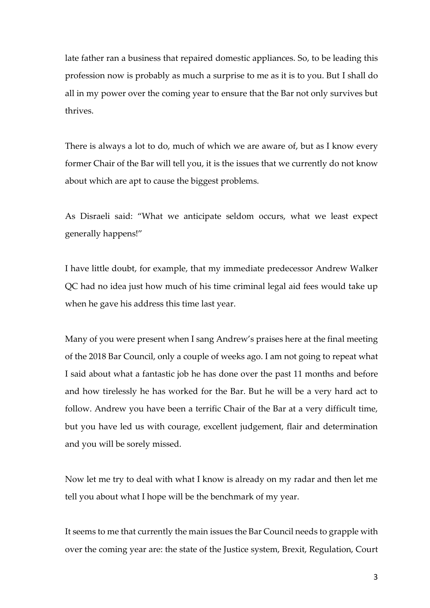late father ran a business that repaired domestic appliances. So, to be leading this profession now is probably as much a surprise to me as it is to you. But I shall do all in my power over the coming year to ensure that the Bar not only survives but thrives.

There is always a lot to do, much of which we are aware of, but as I know every former Chair of the Bar will tell you, it is the issues that we currently do not know about which are apt to cause the biggest problems.

As Disraeli said: "What we anticipate seldom occurs, what we least expect generally happens!"

I have little doubt, for example, that my immediate predecessor Andrew Walker QC had no idea just how much of his time criminal legal aid fees would take up when he gave his address this time last year.

Many of you were present when I sang Andrew's praises here at the final meeting of the 2018 Bar Council, only a couple of weeks ago. I am not going to repeat what I said about what a fantastic job he has done over the past 11 months and before and how tirelessly he has worked for the Bar. But he will be a very hard act to follow. Andrew you have been a terrific Chair of the Bar at a very difficult time, but you have led us with courage, excellent judgement, flair and determination and you will be sorely missed.

Now let me try to deal with what I know is already on my radar and then let me tell you about what I hope will be the benchmark of my year.

It seems to me that currently the main issues the Bar Council needs to grapple with over the coming year are: the state of the Justice system, Brexit, Regulation, Court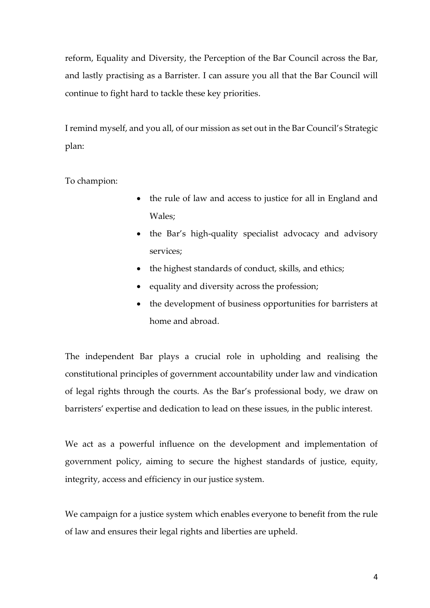reform, Equality and Diversity, the Perception of the Bar Council across the Bar, and lastly practising as a Barrister. I can assure you all that the Bar Council will continue to fight hard to tackle these key priorities.

I remind myself, and you all, of our mission as set out in the Bar Council's Strategic plan:

To champion:

- the rule of law and access to justice for all in England and Wales;
- the Bar's high-quality specialist advocacy and advisory services;
- the highest standards of conduct, skills, and ethics;
- equality and diversity across the profession;
- the development of business opportunities for barristers at home and abroad.

The independent Bar plays a crucial role in upholding and realising the constitutional principles of government accountability under law and vindication of legal rights through the courts. As the Bar's professional body, we draw on barristers' expertise and dedication to lead on these issues, in the public interest.

We act as a powerful influence on the development and implementation of government policy, aiming to secure the highest standards of justice, equity, integrity, access and efficiency in our justice system.

We campaign for a justice system which enables everyone to benefit from the rule of law and ensures their legal rights and liberties are upheld.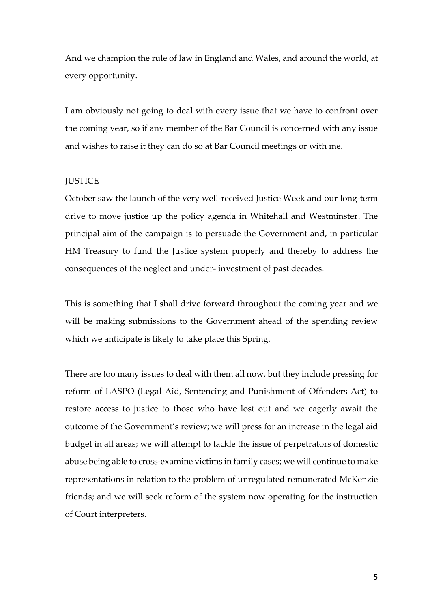And we champion the rule of law in England and Wales, and around the world, at every opportunity.

I am obviously not going to deal with every issue that we have to confront over the coming year, so if any member of the Bar Council is concerned with any issue and wishes to raise it they can do so at Bar Council meetings or with me.

## **JUSTICE**

October saw the launch of the very well-received Justice Week and our long-term drive to move justice up the policy agenda in Whitehall and Westminster. The principal aim of the campaign is to persuade the Government and, in particular HM Treasury to fund the Justice system properly and thereby to address the consequences of the neglect and under- investment of past decades.

This is something that I shall drive forward throughout the coming year and we will be making submissions to the Government ahead of the spending review which we anticipate is likely to take place this Spring.

There are too many issues to deal with them all now, but they include pressing for reform of LASPO (Legal Aid, Sentencing and Punishment of Offenders Act) to restore access to justice to those who have lost out and we eagerly await the outcome of the Government's review; we will press for an increase in the legal aid budget in all areas; we will attempt to tackle the issue of perpetrators of domestic abuse being able to cross-examine victims in family cases; we will continue to make representations in relation to the problem of unregulated remunerated McKenzie friends; and we will seek reform of the system now operating for the instruction of Court interpreters.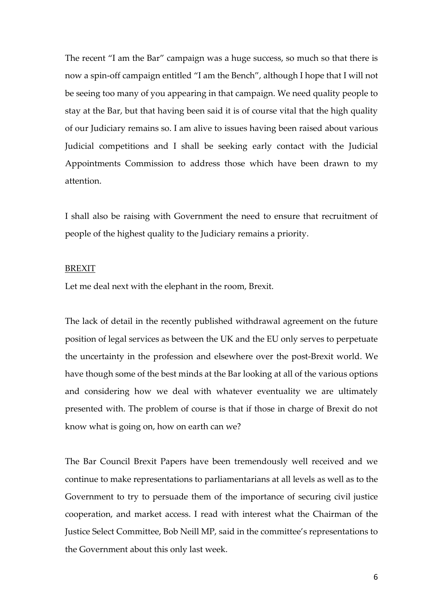The recent "I am the Bar" campaign was a huge success, so much so that there is now a spin-off campaign entitled "I am the Bench", although I hope that I will not be seeing too many of you appearing in that campaign. We need quality people to stay at the Bar, but that having been said it is of course vital that the high quality of our Judiciary remains so. I am alive to issues having been raised about various Judicial competitions and I shall be seeking early contact with the Judicial Appointments Commission to address those which have been drawn to my attention.

I shall also be raising with Government the need to ensure that recruitment of people of the highest quality to the Judiciary remains a priority.

# BREXIT

Let me deal next with the elephant in the room, Brexit.

The lack of detail in the recently published withdrawal agreement on the future position of legal services as between the UK and the EU only serves to perpetuate the uncertainty in the profession and elsewhere over the post-Brexit world. We have though some of the best minds at the Bar looking at all of the various options and considering how we deal with whatever eventuality we are ultimately presented with. The problem of course is that if those in charge of Brexit do not know what is going on, how on earth can we?

The Bar Council Brexit Papers have been tremendously well received and we continue to make representations to parliamentarians at all levels as well as to the Government to try to persuade them of the importance of securing civil justice cooperation, and market access. I read with interest what the Chairman of the Justice Select Committee, Bob Neill MP, said in the committee's representations to the Government about this only last week.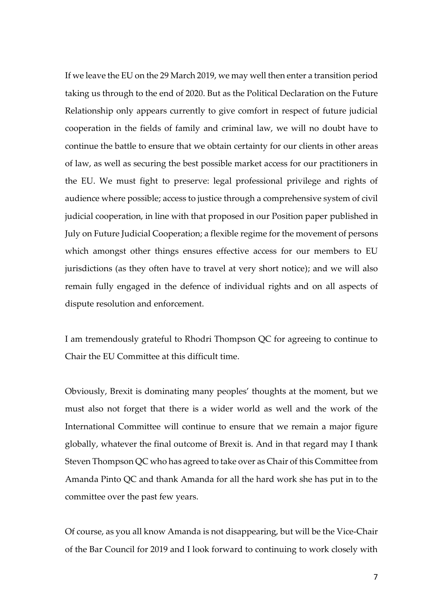If we leave the EU on the 29 March 2019, we may well then enter a transition period taking us through to the end of 2020. But as the Political Declaration on the Future Relationship only appears currently to give comfort in respect of future judicial cooperation in the fields of family and criminal law, we will no doubt have to continue the battle to ensure that we obtain certainty for our clients in other areas of law, as well as securing the best possible market access for our practitioners in the EU. We must fight to preserve: legal professional privilege and rights of audience where possible; access to justice through a comprehensive system of civil judicial cooperation, in line with that proposed in our Position paper published in July on Future Judicial Cooperation; a flexible regime for the movement of persons which amongst other things ensures effective access for our members to EU jurisdictions (as they often have to travel at very short notice); and we will also remain fully engaged in the defence of individual rights and on all aspects of dispute resolution and enforcement.

I am tremendously grateful to Rhodri Thompson QC for agreeing to continue to Chair the EU Committee at this difficult time.

Obviously, Brexit is dominating many peoples' thoughts at the moment, but we must also not forget that there is a wider world as well and the work of the International Committee will continue to ensure that we remain a major figure globally, whatever the final outcome of Brexit is. And in that regard may I thank Steven Thompson QC who has agreed to take over as Chair of this Committee from Amanda Pinto QC and thank Amanda for all the hard work she has put in to the committee over the past few years.

Of course, as you all know Amanda is not disappearing, but will be the Vice-Chair of the Bar Council for 2019 and I look forward to continuing to work closely with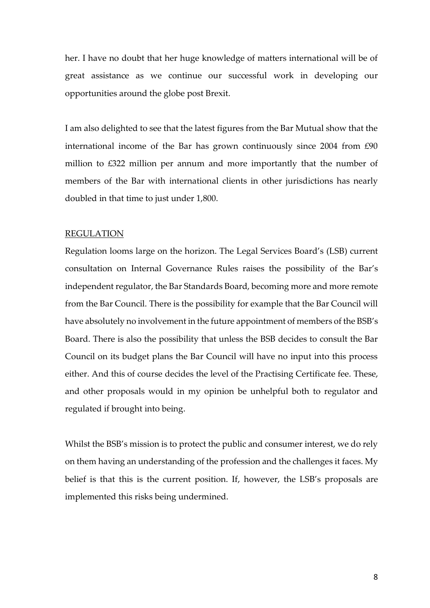her. I have no doubt that her huge knowledge of matters international will be of great assistance as we continue our successful work in developing our opportunities around the globe post Brexit.

I am also delighted to see that the latest figures from the Bar Mutual show that the international income of the Bar has grown continuously since 2004 from £90 million to £322 million per annum and more importantly that the number of members of the Bar with international clients in other jurisdictions has nearly doubled in that time to just under 1,800.

## REGULATION

Regulation looms large on the horizon. The Legal Services Board's (LSB) current consultation on Internal Governance Rules raises the possibility of the Bar's independent regulator, the Bar Standards Board, becoming more and more remote from the Bar Council. There is the possibility for example that the Bar Council will have absolutely no involvement in the future appointment of members of the BSB's Board. There is also the possibility that unless the BSB decides to consult the Bar Council on its budget plans the Bar Council will have no input into this process either. And this of course decides the level of the Practising Certificate fee. These, and other proposals would in my opinion be unhelpful both to regulator and regulated if brought into being.

Whilst the BSB's mission is to protect the public and consumer interest, we do rely on them having an understanding of the profession and the challenges it faces. My belief is that this is the current position. If, however, the LSB's proposals are implemented this risks being undermined.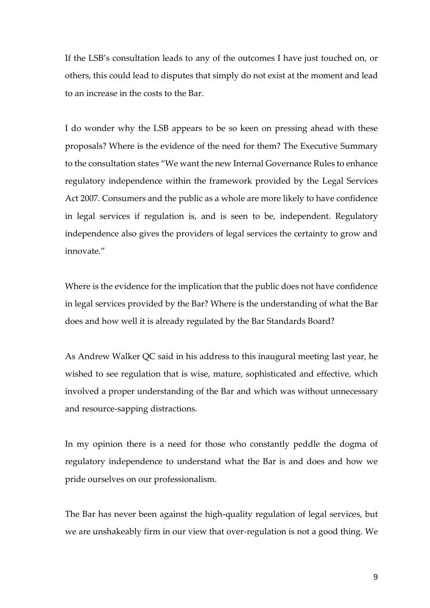If the LSB's consultation leads to any of the outcomes I have just touched on, or others, this could lead to disputes that simply do not exist at the moment and lead to an increase in the costs to the Bar.

I do wonder why the LSB appears to be so keen on pressing ahead with these proposals? Where is the evidence of the need for them? The Executive Summary to the consultation states "We want the new Internal Governance Rules to enhance regulatory independence within the framework provided by the Legal Services Act 2007. Consumers and the public as a whole are more likely to have confidence in legal services if regulation is, and is seen to be, independent. Regulatory independence also gives the providers of legal services the certainty to grow and innovate."

Where is the evidence for the implication that the public does not have confidence in legal services provided by the Bar? Where is the understanding of what the Bar does and how well it is already regulated by the Bar Standards Board?

As Andrew Walker QC said in his address to this inaugural meeting last year, he wished to see regulation that is wise, mature, sophisticated and effective, which involved a proper understanding of the Bar and which was without unnecessary and resource-sapping distractions.

In my opinion there is a need for those who constantly peddle the dogma of regulatory independence to understand what the Bar is and does and how we pride ourselves on our professionalism.

The Bar has never been against the high-quality regulation of legal services, but we are unshakeably firm in our view that over-regulation is not a good thing. We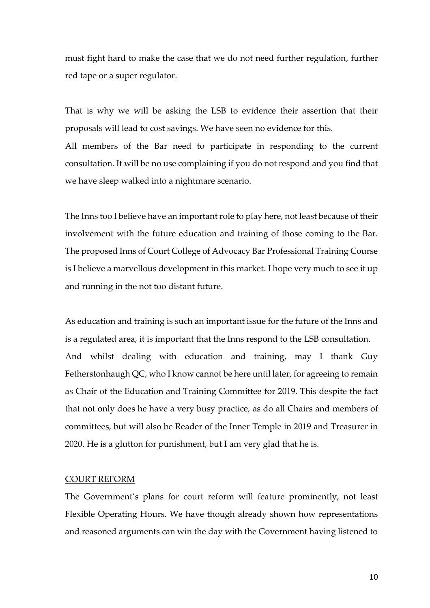must fight hard to make the case that we do not need further regulation, further red tape or a super regulator.

That is why we will be asking the LSB to evidence their assertion that their proposals will lead to cost savings. We have seen no evidence for this. All members of the Bar need to participate in responding to the current consultation. It will be no use complaining if you do not respond and you find that we have sleep walked into a nightmare scenario.

The Inns too I believe have an important role to play here, not least because of their involvement with the future education and training of those coming to the Bar. The proposed Inns of Court College of Advocacy Bar Professional Training Course is I believe a marvellous development in this market. I hope very much to see it up and running in the not too distant future.

As education and training is such an important issue for the future of the Inns and is a regulated area, it is important that the Inns respond to the LSB consultation. And whilst dealing with education and training, may I thank Guy Fetherstonhaugh QC, who I know cannot be here until later, for agreeing to remain as Chair of the Education and Training Committee for 2019. This despite the fact that not only does he have a very busy practice, as do all Chairs and members of committees, but will also be Reader of the Inner Temple in 2019 and Treasurer in 2020. He is a glutton for punishment, but I am very glad that he is.

#### COURT REFORM

The Government's plans for court reform will feature prominently, not least Flexible Operating Hours. We have though already shown how representations and reasoned arguments can win the day with the Government having listened to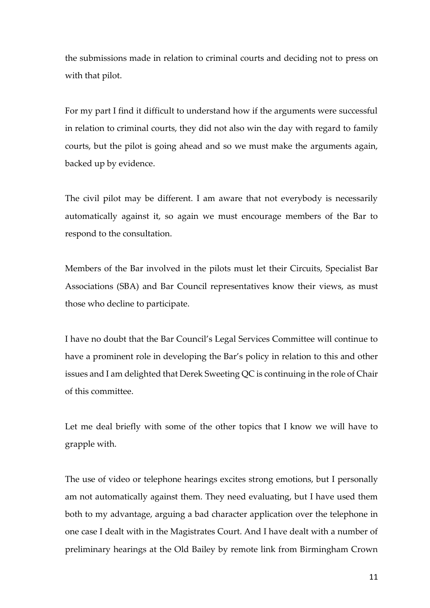the submissions made in relation to criminal courts and deciding not to press on with that pilot.

For my part I find it difficult to understand how if the arguments were successful in relation to criminal courts, they did not also win the day with regard to family courts, but the pilot is going ahead and so we must make the arguments again, backed up by evidence.

The civil pilot may be different. I am aware that not everybody is necessarily automatically against it, so again we must encourage members of the Bar to respond to the consultation.

Members of the Bar involved in the pilots must let their Circuits, Specialist Bar Associations (SBA) and Bar Council representatives know their views, as must those who decline to participate.

I have no doubt that the Bar Council's Legal Services Committee will continue to have a prominent role in developing the Bar's policy in relation to this and other issues and I am delighted that Derek Sweeting QC is continuing in the role of Chair of this committee.

Let me deal briefly with some of the other topics that I know we will have to grapple with.

The use of video or telephone hearings excites strong emotions, but I personally am not automatically against them. They need evaluating, but I have used them both to my advantage, arguing a bad character application over the telephone in one case I dealt with in the Magistrates Court. And I have dealt with a number of preliminary hearings at the Old Bailey by remote link from Birmingham Crown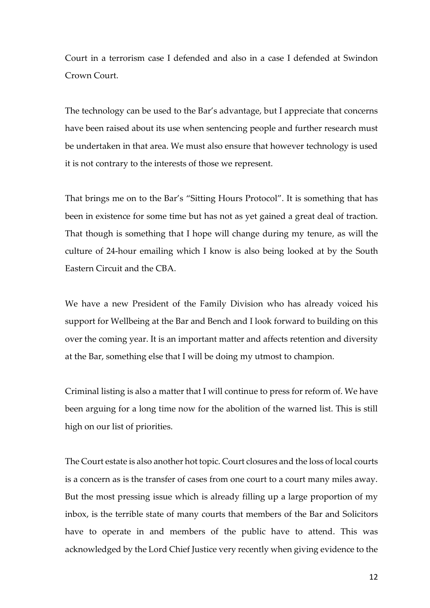Court in a terrorism case I defended and also in a case I defended at Swindon Crown Court.

The technology can be used to the Bar's advantage, but I appreciate that concerns have been raised about its use when sentencing people and further research must be undertaken in that area. We must also ensure that however technology is used it is not contrary to the interests of those we represent.

That brings me on to the Bar's "Sitting Hours Protocol". It is something that has been in existence for some time but has not as yet gained a great deal of traction. That though is something that I hope will change during my tenure, as will the culture of 24-hour emailing which I know is also being looked at by the South Eastern Circuit and the CBA.

We have a new President of the Family Division who has already voiced his support for Wellbeing at the Bar and Bench and I look forward to building on this over the coming year. It is an important matter and affects retention and diversity at the Bar, something else that I will be doing my utmost to champion.

Criminal listing is also a matter that I will continue to press for reform of. We have been arguing for a long time now for the abolition of the warned list. This is still high on our list of priorities.

The Court estate is also another hot topic. Court closures and the loss of local courts is a concern as is the transfer of cases from one court to a court many miles away. But the most pressing issue which is already filling up a large proportion of my inbox, is the terrible state of many courts that members of the Bar and Solicitors have to operate in and members of the public have to attend. This was acknowledged by the Lord Chief Justice very recently when giving evidence to the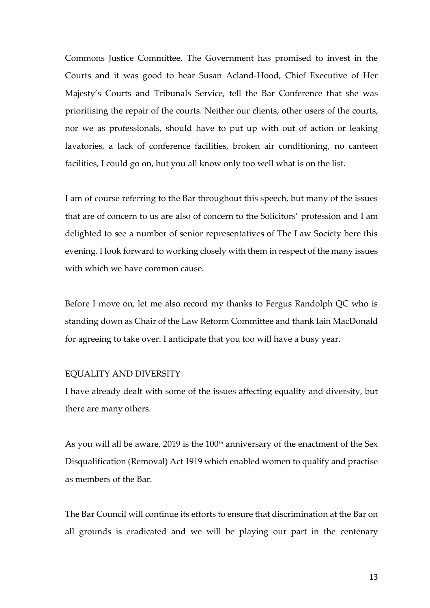Commons Justice Committee. The Government has promised to invest in the Courts and it was good to hear Susan Acland-Hood, Chief Executive of Her Majesty's Courts and Tribunals Service, tell the Bar Conference that she was prioritising the repair of the courts. Neither our clients, other users of the courts, nor we as professionals, should have to put up with out of action or leaking lavatories, a lack of conference facilities, broken air conditioning, no canteen facilities, I could go on, but you all know only too well what is on the list.

I am of course referring to the Bar throughout this speech, but many of the issues that are of concern to us are also of concern to the Solicitors' profession and I am delighted to see a number of senior representatives of The Law Society here this evening. I look forward to working closely with them in respect of the many issues with which we have common cause.

Before I move on, let me also record my thanks to Fergus Randolph QC who is standing down as Chair of the Law Reform Committee and thank Iain MacDonald for agreeing to take over. I anticipate that you too will have a busy year.

# EQUALITY AND DIVERSITY

I have already dealt with some of the issues affecting equality and diversity, but there are many others.

As you will all be aware, 2019 is the  $100<sup>th</sup>$  anniversary of the enactment of the Sex Disqualification (Removal) Act 1919 which enabled women to qualify and practise as members of the Bar.

The Bar Council will continue its efforts to ensure that discrimination at the Bar on all grounds is eradicated and we will be playing our part in the centenary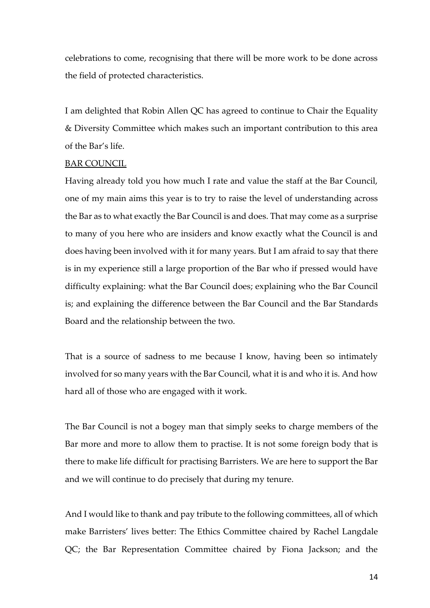celebrations to come, recognising that there will be more work to be done across the field of protected characteristics.

I am delighted that Robin Allen QC has agreed to continue to Chair the Equality & Diversity Committee which makes such an important contribution to this area of the Bar's life.

## BAR COUNCIL

Having already told you how much I rate and value the staff at the Bar Council, one of my main aims this year is to try to raise the level of understanding across the Bar as to what exactly the Bar Council is and does. That may come as a surprise to many of you here who are insiders and know exactly what the Council is and does having been involved with it for many years. But I am afraid to say that there is in my experience still a large proportion of the Bar who if pressed would have difficulty explaining: what the Bar Council does; explaining who the Bar Council is; and explaining the difference between the Bar Council and the Bar Standards Board and the relationship between the two.

That is a source of sadness to me because I know, having been so intimately involved for so many years with the Bar Council, what it is and who it is. And how hard all of those who are engaged with it work.

The Bar Council is not a bogey man that simply seeks to charge members of the Bar more and more to allow them to practise. It is not some foreign body that is there to make life difficult for practising Barristers. We are here to support the Bar and we will continue to do precisely that during my tenure.

And I would like to thank and pay tribute to the following committees, all of which make Barristers' lives better: The Ethics Committee chaired by Rachel Langdale QC; the Bar Representation Committee chaired by Fiona Jackson; and the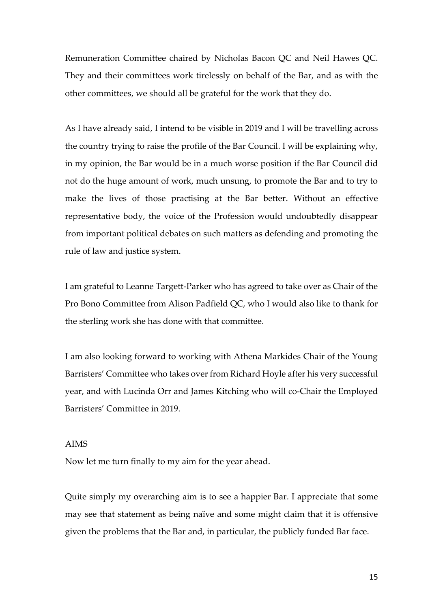Remuneration Committee chaired by Nicholas Bacon QC and Neil Hawes QC. They and their committees work tirelessly on behalf of the Bar, and as with the other committees, we should all be grateful for the work that they do.

As I have already said, I intend to be visible in 2019 and I will be travelling across the country trying to raise the profile of the Bar Council. I will be explaining why, in my opinion, the Bar would be in a much worse position if the Bar Council did not do the huge amount of work, much unsung, to promote the Bar and to try to make the lives of those practising at the Bar better. Without an effective representative body, the voice of the Profession would undoubtedly disappear from important political debates on such matters as defending and promoting the rule of law and justice system.

I am grateful to Leanne Targett-Parker who has agreed to take over as Chair of the Pro Bono Committee from Alison Padfield QC, who I would also like to thank for the sterling work she has done with that committee.

I am also looking forward to working with Athena Markides Chair of the Young Barristers' Committee who takes over from Richard Hoyle after his very successful year, and with Lucinda Orr and James Kitching who will co-Chair the Employed Barristers' Committee in 2019.

#### AIMS

Now let me turn finally to my aim for the year ahead.

Quite simply my overarching aim is to see a happier Bar. I appreciate that some may see that statement as being naïve and some might claim that it is offensive given the problems that the Bar and, in particular, the publicly funded Bar face.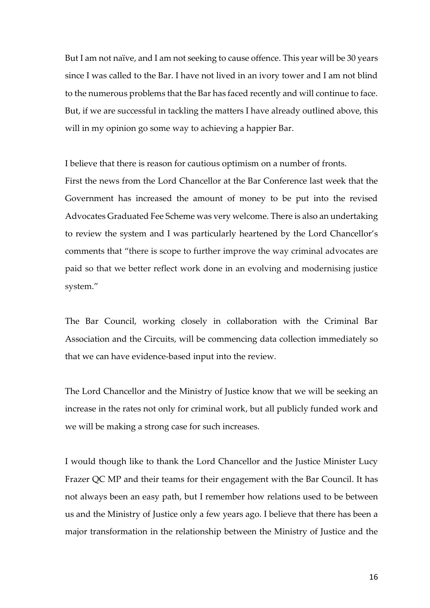But I am not naïve, and I am not seeking to cause offence. This year will be 30 years since I was called to the Bar. I have not lived in an ivory tower and I am not blind to the numerous problems that the Bar has faced recently and will continue to face. But, if we are successful in tackling the matters I have already outlined above, this will in my opinion go some way to achieving a happier Bar.

I believe that there is reason for cautious optimism on a number of fronts.

First the news from the Lord Chancellor at the Bar Conference last week that the Government has increased the amount of money to be put into the revised Advocates Graduated Fee Scheme was very welcome. There is also an undertaking to review the system and I was particularly heartened by the Lord Chancellor's comments that "there is scope to further improve the way criminal advocates are paid so that we better reflect work done in an evolving and modernising justice system."

The Bar Council, working closely in collaboration with the Criminal Bar Association and the Circuits, will be commencing data collection immediately so that we can have evidence-based input into the review.

The Lord Chancellor and the Ministry of Justice know that we will be seeking an increase in the rates not only for criminal work, but all publicly funded work and we will be making a strong case for such increases.

I would though like to thank the Lord Chancellor and the Justice Minister Lucy Frazer QC MP and their teams for their engagement with the Bar Council. It has not always been an easy path, but I remember how relations used to be between us and the Ministry of Justice only a few years ago. I believe that there has been a major transformation in the relationship between the Ministry of Justice and the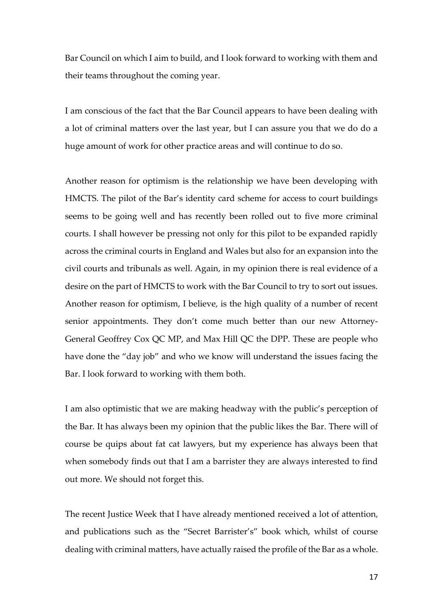Bar Council on which I aim to build, and I look forward to working with them and their teams throughout the coming year.

I am conscious of the fact that the Bar Council appears to have been dealing with a lot of criminal matters over the last year, but I can assure you that we do do a huge amount of work for other practice areas and will continue to do so.

Another reason for optimism is the relationship we have been developing with HMCTS. The pilot of the Bar's identity card scheme for access to court buildings seems to be going well and has recently been rolled out to five more criminal courts. I shall however be pressing not only for this pilot to be expanded rapidly across the criminal courts in England and Wales but also for an expansion into the civil courts and tribunals as well. Again, in my opinion there is real evidence of a desire on the part of HMCTS to work with the Bar Council to try to sort out issues. Another reason for optimism, I believe, is the high quality of a number of recent senior appointments. They don't come much better than our new Attorney-General Geoffrey Cox QC MP, and Max Hill QC the DPP. These are people who have done the "day job" and who we know will understand the issues facing the Bar. I look forward to working with them both.

I am also optimistic that we are making headway with the public's perception of the Bar. It has always been my opinion that the public likes the Bar. There will of course be quips about fat cat lawyers, but my experience has always been that when somebody finds out that I am a barrister they are always interested to find out more. We should not forget this.

The recent Justice Week that I have already mentioned received a lot of attention, and publications such as the "Secret Barrister's" book which, whilst of course dealing with criminal matters, have actually raised the profile of the Bar as a whole.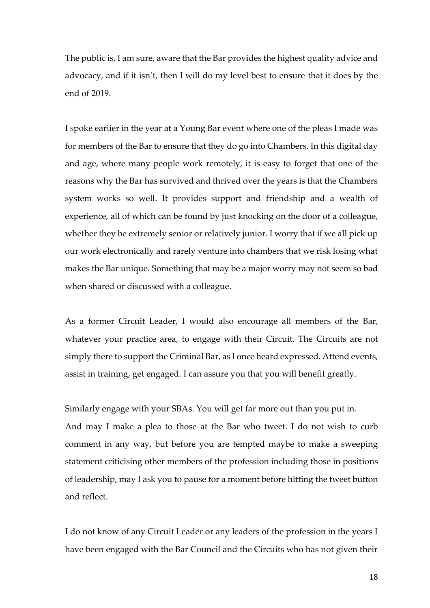The public is, I am sure, aware that the Bar provides the highest quality advice and advocacy, and if it isn't, then I will do my level best to ensure that it does by the end of 2019.

I spoke earlier in the year at a Young Bar event where one of the pleas I made was for members of the Bar to ensure that they do go into Chambers. In this digital day and age, where many people work remotely, it is easy to forget that one of the reasons why the Bar has survived and thrived over the years is that the Chambers system works so well. It provides support and friendship and a wealth of experience, all of which can be found by just knocking on the door of a colleague, whether they be extremely senior or relatively junior. I worry that if we all pick up our work electronically and rarely venture into chambers that we risk losing what makes the Bar unique. Something that may be a major worry may not seem so bad when shared or discussed with a colleague.

As a former Circuit Leader, I would also encourage all members of the Bar, whatever your practice area, to engage with their Circuit. The Circuits are not simply there to support the Criminal Bar, as I once heard expressed. Attend events, assist in training, get engaged. I can assure you that you will benefit greatly.

Similarly engage with your SBAs. You will get far more out than you put in.

And may I make a plea to those at the Bar who tweet. I do not wish to curb comment in any way, but before you are tempted maybe to make a sweeping statement criticising other members of the profession including those in positions of leadership, may I ask you to pause for a moment before hitting the tweet button and reflect.

I do not know of any Circuit Leader or any leaders of the profession in the years I have been engaged with the Bar Council and the Circuits who has not given their